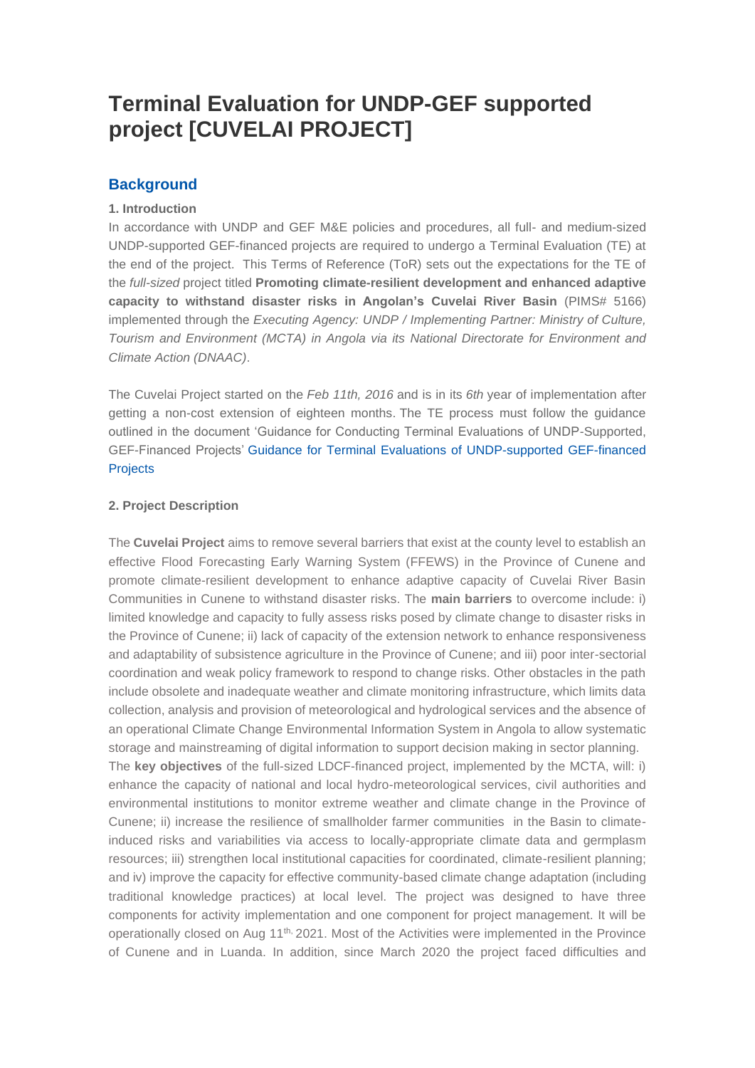# **Terminal Evaluation for UNDP-GEF supported project [CUVELAI PROJECT]**

# **Background**

#### **1. Introduction**

In accordance with UNDP and GEF M&E policies and procedures, all full- and medium-sized UNDP-supported GEF-financed projects are required to undergo a Terminal Evaluation (TE) at the end of the project. This Terms of Reference (ToR) sets out the expectations for the TE of the *full-sized* project titled **Promoting climate-resilient development and enhanced adaptive capacity to withstand disaster risks in Angolan's Cuvelai River Basin** (PIMS# 5166) implemented through the *Executing Agency: UNDP / Implementing Partner: Ministry of Culture, Tourism and Environment (MCTA) in Angola via its National Directorate for Environment and Climate Action (DNAAC)*.

The Cuvelai Project started on the *Feb 11th, 2016* and is in its *6th* year of implementation after getting a non-cost extension of eighteen months. The TE process must follow the guidance outlined in the document 'Guidance for Conducting Terminal Evaluations of UNDP-Supported, GEF-Financed Projects' Guidance for Terminal Evaluations of [UNDP-supported](https://eur03.safelinks.protection.outlook.com/?url=http%3A%2F%2Fweb.undp.org%2Fevaluation%2Fguideline%2Fdocuments%2FGEF%2FTE_GuidanceforUNDP-supportedGEF-financedProjects.pdf&data=02%7C01%7Cmeral.ozler%40undp.org%7C7388322c47194264507e08d8589953ed%7Cb3e5db5e2944483799f57488ace54319%7C0%7C0%7C637356762840217926&sdata=Ye9PQsk5Fbr0FO6lDo1vx51%2BrpavjO7O76VyuIwNEjs%3D&reserved=0) GEF-financed **[Projects](https://eur03.safelinks.protection.outlook.com/?url=http%3A%2F%2Fweb.undp.org%2Fevaluation%2Fguideline%2Fdocuments%2FGEF%2FTE_GuidanceforUNDP-supportedGEF-financedProjects.pdf&data=02%7C01%7Cmeral.ozler%40undp.org%7C7388322c47194264507e08d8589953ed%7Cb3e5db5e2944483799f57488ace54319%7C0%7C0%7C637356762840217926&sdata=Ye9PQsk5Fbr0FO6lDo1vx51%2BrpavjO7O76VyuIwNEjs%3D&reserved=0)** 

## **2. Project Description**

The **Cuvelai Project** aims to remove several barriers that exist at the county level to establish an effective Flood Forecasting Early Warning System (FFEWS) in the Province of Cunene and promote climate-resilient development to enhance adaptive capacity of Cuvelai River Basin Communities in Cunene to withstand disaster risks. The **main barriers** to overcome include: i) limited knowledge and capacity to fully assess risks posed by climate change to disaster risks in the Province of Cunene; ii) lack of capacity of the extension network to enhance responsiveness and adaptability of subsistence agriculture in the Province of Cunene; and iii) poor inter-sectorial coordination and weak policy framework to respond to change risks. Other obstacles in the path include obsolete and inadequate weather and climate monitoring infrastructure, which limits data collection, analysis and provision of meteorological and hydrological services and the absence of an operational Climate Change Environmental Information System in Angola to allow systematic storage and mainstreaming of digital information to support decision making in sector planning. The **key objectives** of the full-sized LDCF-financed project, implemented by the MCTA, will: i) enhance the capacity of national and local hydro-meteorological services, civil authorities and environmental institutions to monitor extreme weather and climate change in the Province of Cunene; ii) increase the resilience of smallholder farmer communities in the Basin to climateinduced risks and variabilities via access to locally-appropriate climate data and germplasm resources; iii) strengthen local institutional capacities for coordinated, climate-resilient planning; and iv) improve the capacity for effective community-based climate change adaptation (including traditional knowledge practices) at local level. The project was designed to have three components for activity implementation and one component for project management. It will be operationally closed on Aug 11<sup>th,</sup> 2021. Most of the Activities were implemented in the Province of Cunene and in Luanda. In addition, since March 2020 the project faced difficulties and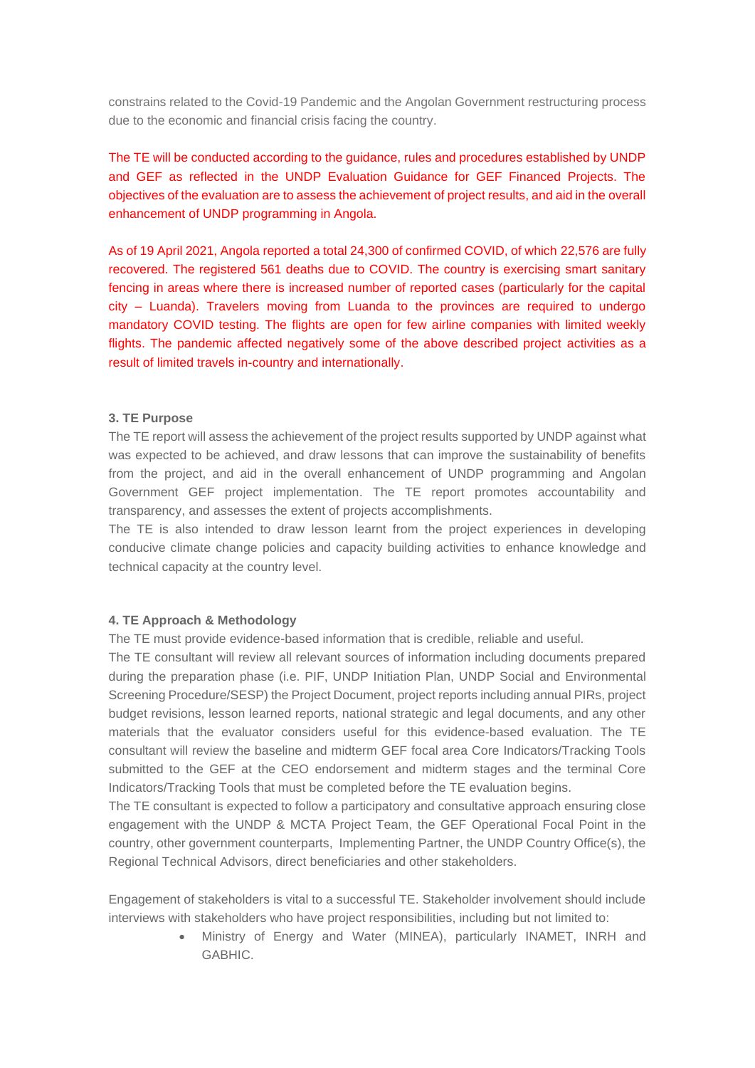constrains related to the Covid-19 Pandemic and the Angolan Government restructuring process due to the economic and financial crisis facing the country.

The TE will be conducted according to the guidance, rules and procedures established by UNDP and GEF as reflected in the UNDP Evaluation Guidance for GEF Financed Projects. The objectives of the evaluation are to assess the achievement of project results, and aid in the overall enhancement of UNDP programming in Angola.

As of 19 April 2021, Angola reported a total 24,300 of confirmed COVID, of which 22,576 are fully recovered. The registered 561 deaths due to COVID. The country is exercising smart sanitary fencing in areas where there is increased number of reported cases (particularly for the capital city – Luanda). Travelers moving from Luanda to the provinces are required to undergo mandatory COVID testing. The flights are open for few airline companies with limited weekly flights. The pandemic affected negatively some of the above described project activities as a result of limited travels in-country and internationally.

#### **3. TE Purpose**

The TE report will assess the achievement of the project results supported by UNDP against what was expected to be achieved, and draw lessons that can improve the sustainability of benefits from the project, and aid in the overall enhancement of UNDP programming and Angolan Government GEF project implementation. The TE report promotes accountability and transparency, and assesses the extent of projects accomplishments.

The TE is also intended to draw lesson learnt from the project experiences in developing conducive climate change policies and capacity building activities to enhance knowledge and technical capacity at the country level.

#### **4. TE Approach & Methodology**

The TE must provide evidence-based information that is credible, reliable and useful.

The TE consultant will review all relevant sources of information including documents prepared during the preparation phase (i.e. PIF, UNDP Initiation Plan, UNDP Social and Environmental Screening Procedure/SESP) the Project Document, project reports including annual PIRs, project budget revisions, lesson learned reports, national strategic and legal documents, and any other materials that the evaluator considers useful for this evidence-based evaluation. The TE consultant will review the baseline and midterm GEF focal area Core Indicators/Tracking Tools submitted to the GEF at the CEO endorsement and midterm stages and the terminal Core Indicators/Tracking Tools that must be completed before the TE evaluation begins.

The TE consultant is expected to follow a participatory and consultative approach ensuring close engagement with the UNDP & MCTA Project Team, the GEF Operational Focal Point in the country, other government counterparts, Implementing Partner, the UNDP Country Office(s), the Regional Technical Advisors, direct beneficiaries and other stakeholders.

Engagement of stakeholders is vital to a successful TE. Stakeholder involvement should include interviews with stakeholders who have project responsibilities, including but not limited to:

> • Ministry of Energy and Water (MINEA), particularly INAMET, INRH and GABHIC.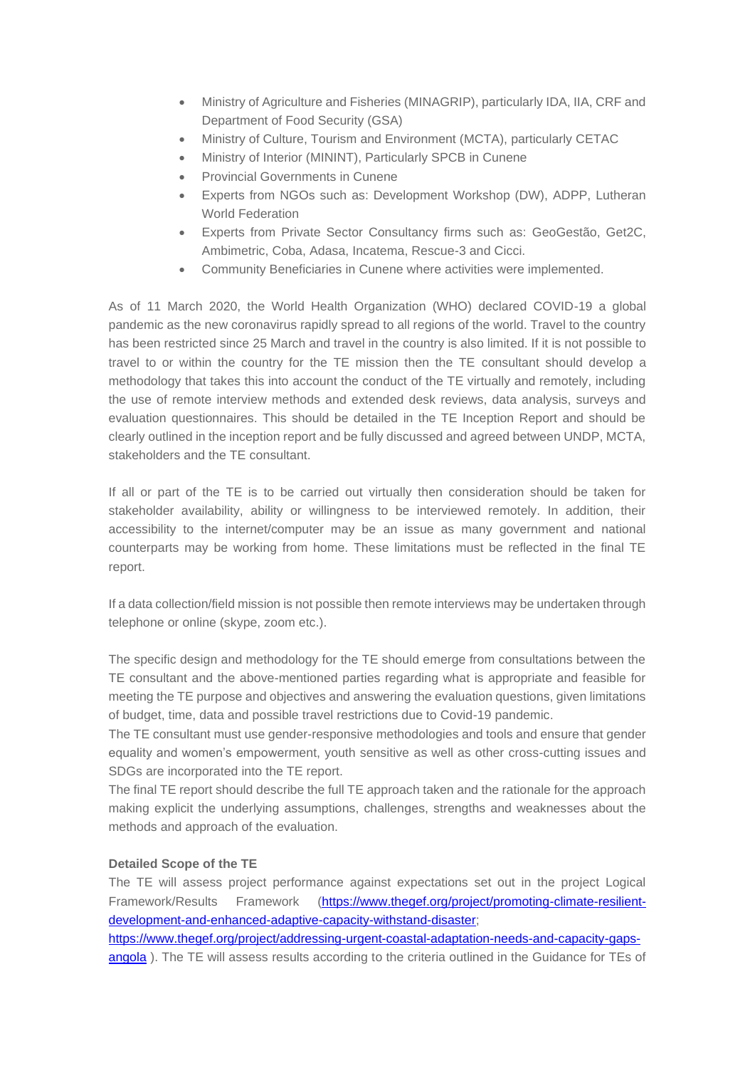- Ministry of Agriculture and Fisheries (MINAGRIP), particularly IDA, IIA, CRF and Department of Food Security (GSA)
- Ministry of Culture, Tourism and Environment (MCTA), particularly CETAC
- Ministry of Interior (MININT), Particularly SPCB in Cunene
- Provincial Governments in Cunene
- Experts from NGOs such as: Development Workshop (DW), ADPP, Lutheran World Federation
- Experts from Private Sector Consultancy firms such as: GeoGestão, Get2C, Ambimetric, Coba, Adasa, Incatema, Rescue-3 and Cicci.
- Community Beneficiaries in Cunene where activities were implemented.

As of 11 March 2020, the World Health Organization (WHO) declared COVID-19 a global pandemic as the new coronavirus rapidly spread to all regions of the world. Travel to the country has been restricted since 25 March and travel in the country is also limited. If it is not possible to travel to or within the country for the TE mission then the TE consultant should develop a methodology that takes this into account the conduct of the TE virtually and remotely, including the use of remote interview methods and extended desk reviews, data analysis, surveys and evaluation questionnaires. This should be detailed in the TE Inception Report and should be clearly outlined in the inception report and be fully discussed and agreed between UNDP, MCTA, stakeholders and the TE consultant.

If all or part of the TE is to be carried out virtually then consideration should be taken for stakeholder availability, ability or willingness to be interviewed remotely. In addition, their accessibility to the internet/computer may be an issue as many government and national counterparts may be working from home. These limitations must be reflected in the final TE report.

If a data collection/field mission is not possible then remote interviews may be undertaken through telephone or online (skype, zoom etc.).

The specific design and methodology for the TE should emerge from consultations between the TE consultant and the above-mentioned parties regarding what is appropriate and feasible for meeting the TE purpose and objectives and answering the evaluation questions, given limitations of budget, time, data and possible travel restrictions due to Covid-19 pandemic.

The TE consultant must use gender-responsive methodologies and tools and ensure that gender equality and women's empowerment, youth sensitive as well as other cross-cutting issues and SDGs are incorporated into the TE report.

The final TE report should describe the full TE approach taken and the rationale for the approach making explicit the underlying assumptions, challenges, strengths and weaknesses about the methods and approach of the evaluation.

#### **Detailed Scope of the TE**

The TE will assess project performance against expectations set out in the project Logical Framework/Results Framework [\(https://www.thegef.org/project/promoting-climate-resilient](https://www.thegef.org/project/promoting-climate-resilient-development-and-enhanced-adaptive-capacity-withstand-disaster)[development-and-enhanced-adaptive-capacity-withstand-disaster;](https://www.thegef.org/project/promoting-climate-resilient-development-and-enhanced-adaptive-capacity-withstand-disaster)

[https://www.thegef.org/project/addressing-urgent-coastal-adaptation-needs-and-capacity-gaps](https://www.thegef.org/project/addressing-urgent-coastal-adaptation-needs-and-capacity-gaps-angola)[angola](https://www.thegef.org/project/addressing-urgent-coastal-adaptation-needs-and-capacity-gaps-angola) ). The TE will assess results according to the criteria outlined in the Guidance for TEs of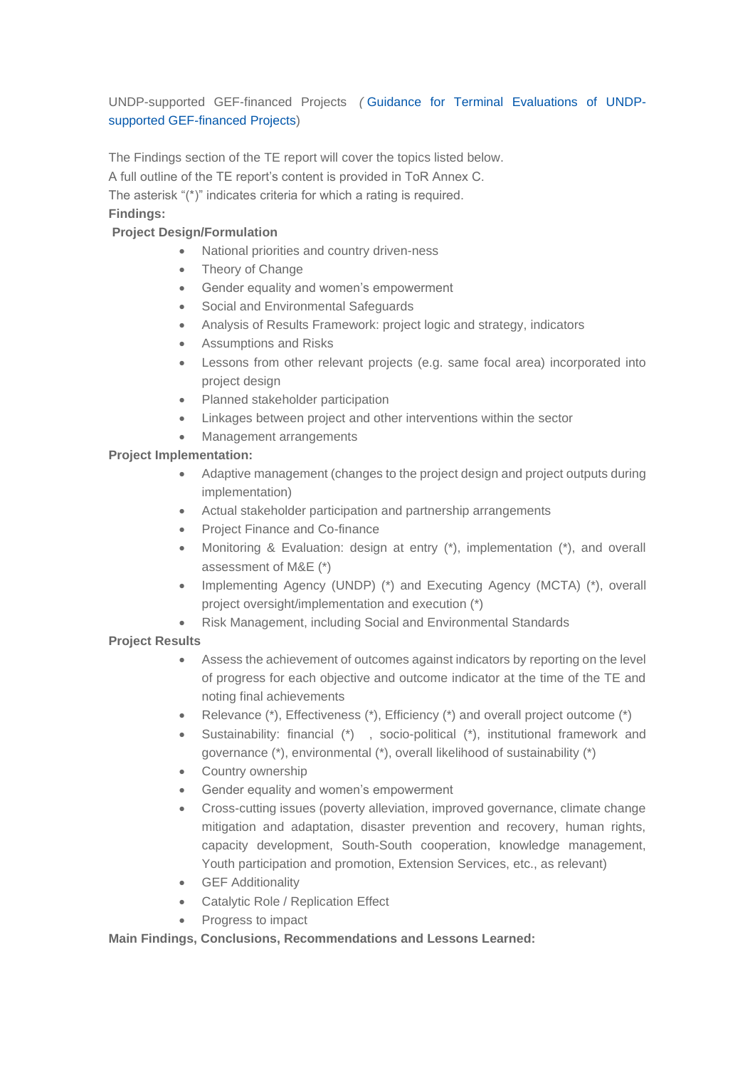UNDP-supported GEF-financed Projects *(* Guidance for Terminal [Evaluations](https://eur03.safelinks.protection.outlook.com/?url=http%3A%2F%2Fweb.undp.org%2Fevaluation%2Fguideline%2Fdocuments%2FGEF%2FTE_GuidanceforUNDP-supportedGEF-financedProjects.pdf&data=02%7C01%7Cmeral.ozler%40undp.org%7C7388322c47194264507e08d8589953ed%7Cb3e5db5e2944483799f57488ace54319%7C0%7C0%7C637356762840217926&sdata=Ye9PQsk5Fbr0FO6lDo1vx51%2BrpavjO7O76VyuIwNEjs%3D&reserved=0) of UNDPsupported [GEF-financed](https://eur03.safelinks.protection.outlook.com/?url=http%3A%2F%2Fweb.undp.org%2Fevaluation%2Fguideline%2Fdocuments%2FGEF%2FTE_GuidanceforUNDP-supportedGEF-financedProjects.pdf&data=02%7C01%7Cmeral.ozler%40undp.org%7C7388322c47194264507e08d8589953ed%7Cb3e5db5e2944483799f57488ace54319%7C0%7C0%7C637356762840217926&sdata=Ye9PQsk5Fbr0FO6lDo1vx51%2BrpavjO7O76VyuIwNEjs%3D&reserved=0) Projects)

The Findings section of the TE report will cover the topics listed below. A full outline of the TE report's content is provided in ToR Annex C. The asterisk "(\*)" indicates criteria for which a rating is required. **Findings:**

## **Project Design/Formulation**

- National priorities and country driven-ness
- Theory of Change
- Gender equality and women's empowerment
- Social and Environmental Safeguards
- Analysis of Results Framework: project logic and strategy, indicators
- Assumptions and Risks
- Lessons from other relevant projects (e.g. same focal area) incorporated into project design
- Planned stakeholder participation
- Linkages between project and other interventions within the sector
- Management arrangements

## **Project Implementation:**

- Adaptive management (changes to the project design and project outputs during implementation)
- Actual stakeholder participation and partnership arrangements
- Project Finance and Co-finance
- Monitoring & Evaluation: design at entry (\*), implementation (\*), and overall assessment of M&E (\*)
- Implementing Agency (UNDP) (\*) and Executing Agency (MCTA) (\*), overall project oversight/implementation and execution (\*)
- Risk Management, including Social and Environmental Standards

# **Project Results**

- Assess the achievement of outcomes against indicators by reporting on the level of progress for each objective and outcome indicator at the time of the TE and noting final achievements
- Relevance (\*), Effectiveness (\*), Efficiency (\*) and overall project outcome (\*)
- Sustainability: financial (\*) , socio-political (\*), institutional framework and governance (\*), environmental (\*), overall likelihood of sustainability (\*)
- Country ownership
- Gender equality and women's empowerment
- Cross-cutting issues (poverty alleviation, improved governance, climate change mitigation and adaptation, disaster prevention and recovery, human rights, capacity development, South-South cooperation, knowledge management, Youth participation and promotion, Extension Services, etc., as relevant)
- GEF Additionality
- Catalytic Role / Replication Effect
- Progress to impact

## **Main Findings, Conclusions, Recommendations and Lessons Learned:**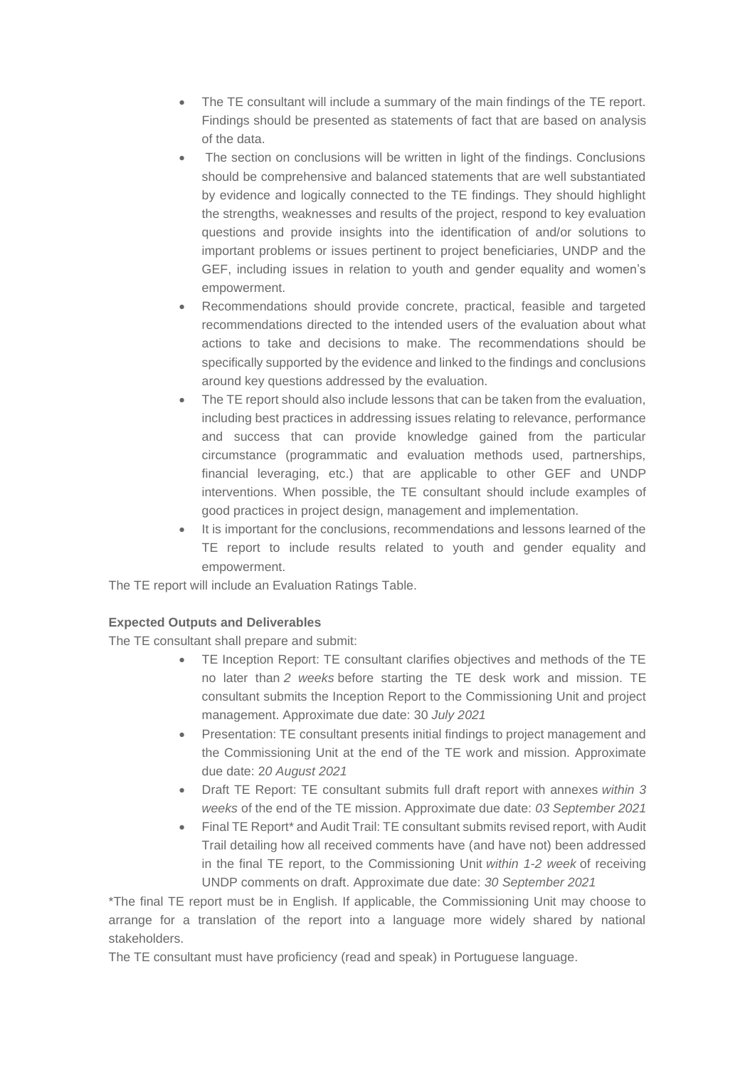- The TE consultant will include a summary of the main findings of the TE report. Findings should be presented as statements of fact that are based on analysis of the data.
- The section on conclusions will be written in light of the findings. Conclusions should be comprehensive and balanced statements that are well substantiated by evidence and logically connected to the TE findings. They should highlight the strengths, weaknesses and results of the project, respond to key evaluation questions and provide insights into the identification of and/or solutions to important problems or issues pertinent to project beneficiaries, UNDP and the GEF, including issues in relation to youth and gender equality and women's empowerment.
- Recommendations should provide concrete, practical, feasible and targeted recommendations directed to the intended users of the evaluation about what actions to take and decisions to make. The recommendations should be specifically supported by the evidence and linked to the findings and conclusions around key questions addressed by the evaluation.
- The TE report should also include lessons that can be taken from the evaluation, including best practices in addressing issues relating to relevance, performance and success that can provide knowledge gained from the particular circumstance (programmatic and evaluation methods used, partnerships, financial leveraging, etc.) that are applicable to other GEF and UNDP interventions. When possible, the TE consultant should include examples of good practices in project design, management and implementation.
- It is important for the conclusions, recommendations and lessons learned of the TE report to include results related to youth and gender equality and empowerment.

The TE report will include an Evaluation Ratings Table.

#### **Expected Outputs and Deliverables**

The TE consultant shall prepare and submit:

- TE Inception Report: TE consultant clarifies objectives and methods of the TE no later than *2 weeks* before starting the TE desk work and mission. TE consultant submits the Inception Report to the Commissioning Unit and project management. Approximate due date: 30 *July 2021*
- Presentation: TE consultant presents initial findings to project management and the Commissioning Unit at the end of the TE work and mission. Approximate due date: 2*0 August 2021*
- Draft TE Report: TE consultant submits full draft report with annexes *within 3 weeks* of the end of the TE mission. Approximate due date: *03 September 2021*
- Final TE Report\* and Audit Trail: TE consultant submits revised report, with Audit Trail detailing how all received comments have (and have not) been addressed in the final TE report, to the Commissioning Unit *within 1-2 week* of receiving UNDP comments on draft. Approximate due date: *30 September 2021*

\*The final TE report must be in English. If applicable, the Commissioning Unit may choose to arrange for a translation of the report into a language more widely shared by national stakeholders.

The TE consultant must have proficiency (read and speak) in Portuguese language.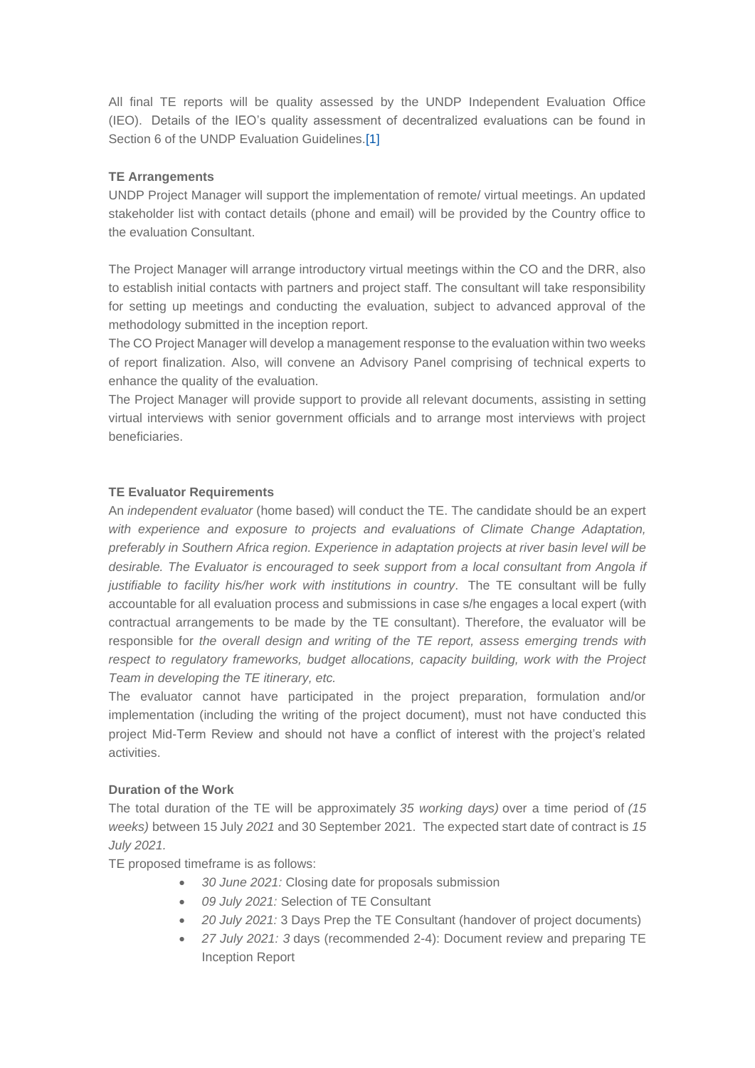All final TE reports will be quality assessed by the UNDP Independent Evaluation Office (IEO). Details of the IEO's quality assessment of decentralized evaluations can be found in Section 6 of the UNDP Evaluation Guidelines[.\[1\]](https://jobs.undp.org/cj_view_job.cfm?cur_job_id=93264#_ftn1)

## **TE Arrangements**

UNDP Project Manager will support the implementation of remote/ virtual meetings. An updated stakeholder list with contact details (phone and email) will be provided by the Country office to the evaluation Consultant.

The Project Manager will arrange introductory virtual meetings within the CO and the DRR, also to establish initial contacts with partners and project staff. The consultant will take responsibility for setting up meetings and conducting the evaluation, subject to advanced approval of the methodology submitted in the inception report.

The CO Project Manager will develop a management response to the evaluation within two weeks of report finalization. Also, will convene an Advisory Panel comprising of technical experts to enhance the quality of the evaluation.

The Project Manager will provide support to provide all relevant documents, assisting in setting virtual interviews with senior government officials and to arrange most interviews with project beneficiaries.

## **TE Evaluator Requirements**

An *independent evaluator* (home based) will conduct the TE. The candidate should be an expert *with experience and exposure to projects and evaluations of Climate Change Adaptation, preferably in Southern Africa region. Experience in adaptation projects at river basin level will be desirable. The Evaluator is encouraged to seek support from a local consultant from Angola if justifiable to facility his/her work with institutions in country*. The TE consultant will be fully accountable for all evaluation process and submissions in case s/he engages a local expert (with contractual arrangements to be made by the TE consultant). Therefore, the evaluator will be responsible for *the overall design and writing of the TE report, assess emerging trends with respect to regulatory frameworks, budget allocations, capacity building, work with the Project Team in developing the TE itinerary, etc.*

The evaluator cannot have participated in the project preparation, formulation and/or implementation (including the writing of the project document), must not have conducted this project Mid-Term Review and should not have a conflict of interest with the project's related activities.

#### **Duration of the Work**

The total duration of the TE will be approximately *35 working days)* over a time period of *(15 weeks)* between 15 July *2021* and 30 September 2021. The expected start date of contract is *15 July 2021.*

TE proposed timeframe is as follows:

- *30 June 2021:* Closing date for proposals submission
- *09 July 2021:* Selection of TE Consultant
- *20 July 2021:* 3 Days Prep the TE Consultant (handover of project documents)
- *27 July 2021: 3* days (recommended 2-4): Document review and preparing TE Inception Report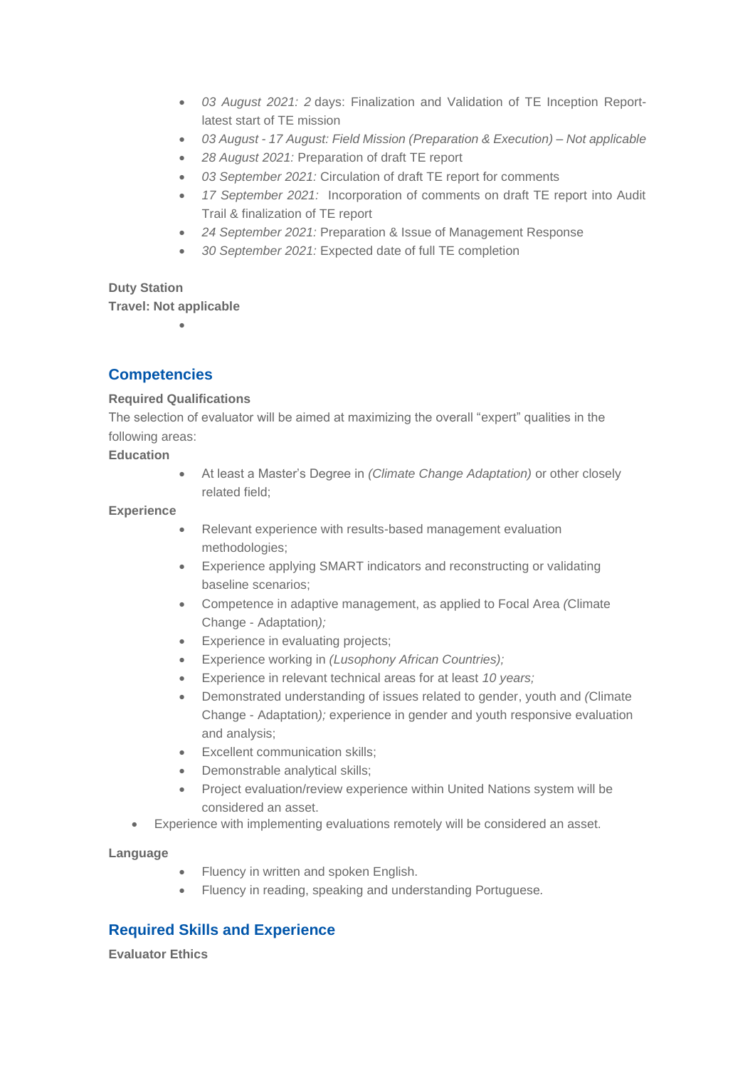- *03 August 2021: 2* days: Finalization and Validation of TE Inception Reportlatest start of TE mission
- *03 August - 17 August: Field Mission (Preparation & Execution) – Not applicable*
- *28 August 2021:* Preparation of draft TE report
- *03 September 2021:* Circulation of draft TE report for comments
- *17 September 2021:* Incorporation of comments on draft TE report into Audit Trail & finalization of TE report
- *24 September 2021:* Preparation & Issue of Management Response
- *30 September 2021:* Expected date of full TE completion

#### **Duty Station**

**Travel: Not applicable** •

# **Competencies**

## **Required Qualifications**

The selection of evaluator will be aimed at maximizing the overall "expert" qualities in the following areas:

**Education**

• At least a Master's Degree in *(Climate Change Adaptation)* or other closely related field;

#### **Experience**

- Relevant experience with results-based management evaluation methodologies;
- Experience applying SMART indicators and reconstructing or validating baseline scenarios;
- Competence in adaptive management, as applied to Focal Area *(*Climate Change - Adaptation*);*
- Experience in evaluating projects;
- Experience working in *(Lusophony African Countries);*
- Experience in relevant technical areas for at least *10 years;*
- Demonstrated understanding of issues related to gender, youth and *(*Climate Change - Adaptation*);* experience in gender and youth responsive evaluation and analysis;
- Excellent communication skills;
- Demonstrable analytical skills;
- Project evaluation/review experience within United Nations system will be considered an asset.
- Experience with implementing evaluations remotely will be considered an asset.

#### **Language**

- Fluency in written and spoken English.
- Fluency in reading, speaking and understanding Portuguese*.*

# **Required Skills and Experience**

**Evaluator Ethics**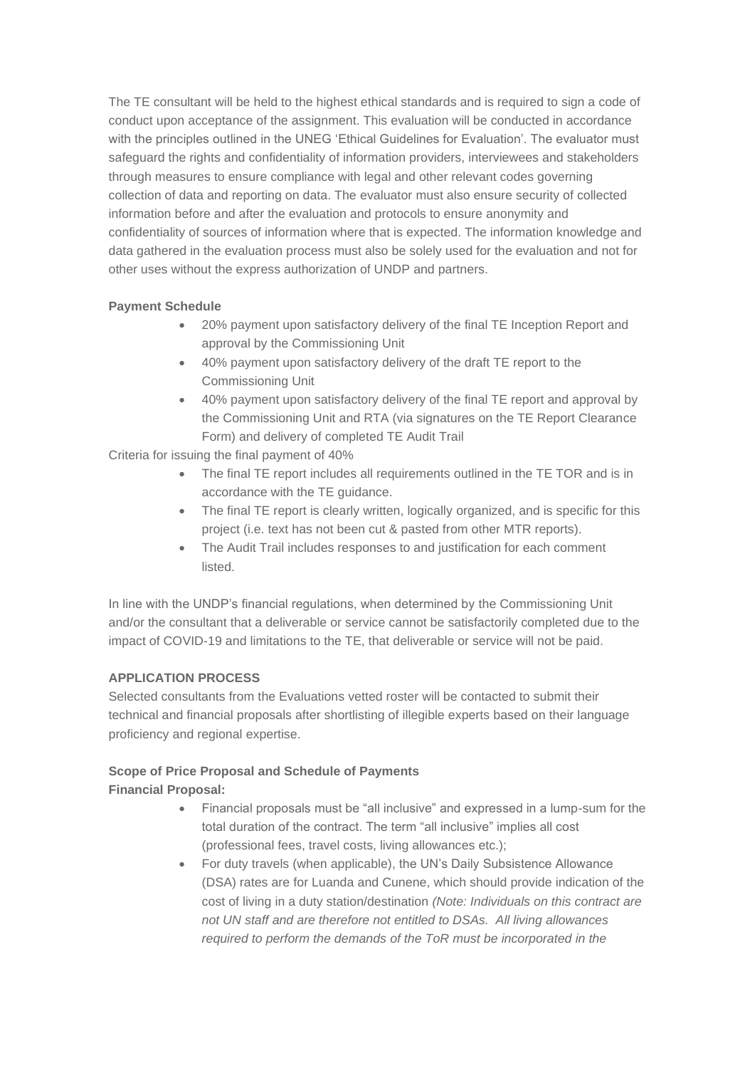The TE consultant will be held to the highest ethical standards and is required to sign a code of conduct upon acceptance of the assignment. This evaluation will be conducted in accordance with the principles outlined in the UNEG 'Ethical Guidelines for Evaluation'. The evaluator must safeguard the rights and confidentiality of information providers, interviewees and stakeholders through measures to ensure compliance with legal and other relevant codes governing collection of data and reporting on data. The evaluator must also ensure security of collected information before and after the evaluation and protocols to ensure anonymity and confidentiality of sources of information where that is expected. The information knowledge and data gathered in the evaluation process must also be solely used for the evaluation and not for other uses without the express authorization of UNDP and partners.

## **Payment Schedule**

- 20% payment upon satisfactory delivery of the final TE Inception Report and approval by the Commissioning Unit
- 40% payment upon satisfactory delivery of the draft TE report to the Commissioning Unit
- 40% payment upon satisfactory delivery of the final TE report and approval by the Commissioning Unit and RTA (via signatures on the TE Report Clearance Form) and delivery of completed TE Audit Trail

Criteria for issuing the final payment of 40%

- The final TE report includes all requirements outlined in the TE TOR and is in accordance with the TE guidance.
- The final TE report is clearly written, logically organized, and is specific for this project (i.e. text has not been cut & pasted from other MTR reports).
- The Audit Trail includes responses to and justification for each comment listed.

In line with the UNDP's financial regulations, when determined by the Commissioning Unit and/or the consultant that a deliverable or service cannot be satisfactorily completed due to the impact of COVID-19 and limitations to the TE, that deliverable or service will not be paid.

#### **APPLICATION PROCESS**

Selected consultants from the Evaluations vetted roster will be contacted to submit their technical and financial proposals after shortlisting of illegible experts based on their language proficiency and regional expertise.

## **Scope of Price Proposal and Schedule of Payments**

## **Financial Proposal:**

- Financial proposals must be "all inclusive" and expressed in a lump-sum for the total duration of the contract. The term "all inclusive" implies all cost (professional fees, travel costs, living allowances etc.);
- For duty travels (when applicable), the UN's Daily Subsistence Allowance (DSA) rates are for Luanda and Cunene, which should provide indication of the cost of living in a duty station/destination *(Note: Individuals on this contract are not UN staff and are therefore not entitled to DSAs. All living allowances required to perform the demands of the ToR must be incorporated in the*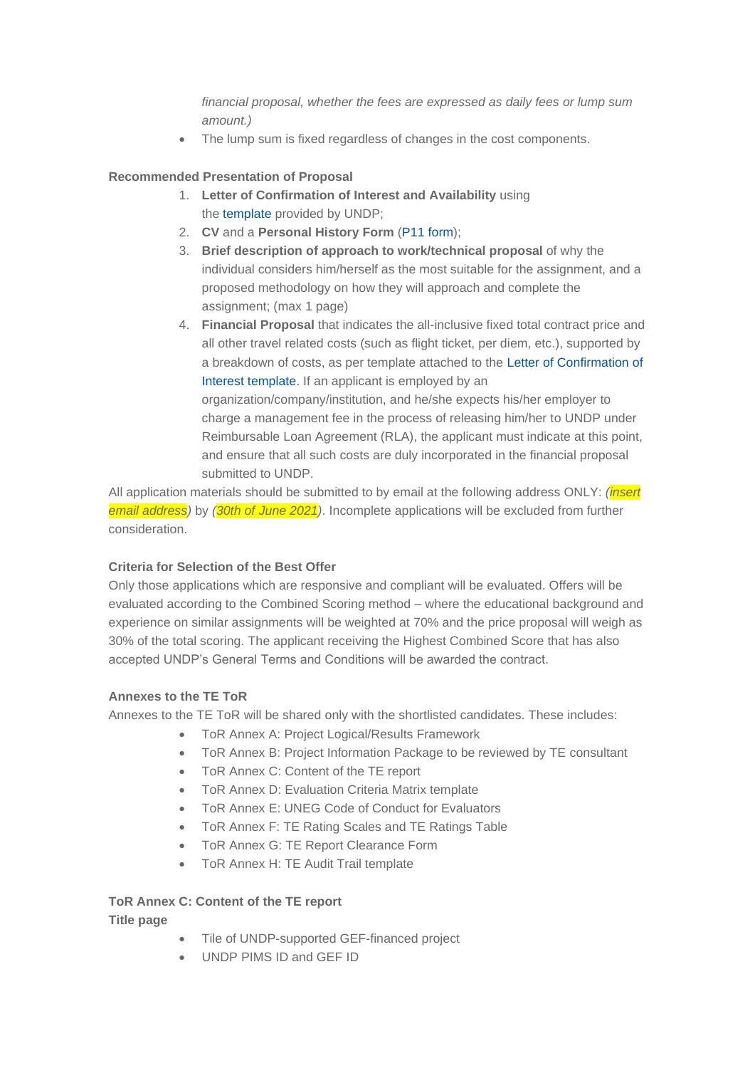*financial proposal, whether the fees are expressed as daily fees or lump sum amount.)*

The lump sum is fixed regardless of changes in the cost components.

## **Recommended Presentation of Proposal**

- 1. **Letter of Confirmation of Interest and Availability** using the [template](https://intranet.undp.org/unit/bom/pso/Support%20documents%20on%20IC%20Guidelines/Template%20for%20Confirmation%20of%20Interest%20and%20Submission%20of%20Financial%20Proposal.docx) provided by UNDP;
- 2. **CV** and a **Personal History Form** (P11 [form\)](http://www.undp.org/content/dam/undp/library/corporate/Careers/P11_Personal_history_form.doc);
- 3. **Brief description of approach to work/technical proposal** of why the individual considers him/herself as the most suitable for the assignment, and a proposed methodology on how they will approach and complete the assignment; (max 1 page)
- 4. **Financial Proposal** that indicates the all-inclusive fixed total contract price and all other travel related costs (such as flight ticket, per diem, etc.), supported by a breakdown of costs, as per template attached to the Letter of [Confirmation](https://popp.undp.org/_layouts/15/WopiFrame.aspx?sourcedoc=/UNDP_POPP_DOCUMENT_LIBRARY/Public/PSU_%20Individual%20Contract_Offerors%20Letter%20to%20UNDP%20Confirming%20Interest%20and%20Availability.docx&action=default) of Interest [template.](https://popp.undp.org/_layouts/15/WopiFrame.aspx?sourcedoc=/UNDP_POPP_DOCUMENT_LIBRARY/Public/PSU_%20Individual%20Contract_Offerors%20Letter%20to%20UNDP%20Confirming%20Interest%20and%20Availability.docx&action=default) If an applicant is employed by an

organization/company/institution, and he/she expects his/her employer to charge a management fee in the process of releasing him/her to UNDP under Reimbursable Loan Agreement (RLA), the applicant must indicate at this point, and ensure that all such costs are duly incorporated in the financial proposal submitted to UNDP.

All application materials should be submitted to by email at the following address ONLY: *(insert email address)* by *(30th of June 2021)*. Incomplete applications will be excluded from further consideration.

## **Criteria for Selection of the Best Offer**

Only those applications which are responsive and compliant will be evaluated. Offers will be evaluated according to the Combined Scoring method – where the educational background and experience on similar assignments will be weighted at 70% and the price proposal will weigh as 30% of the total scoring. The applicant receiving the Highest Combined Score that has also accepted UNDP's General Terms and Conditions will be awarded the contract.

#### **Annexes to the TE ToR**

Annexes to the TE ToR will be shared only with the shortlisted candidates. These includes:

- ToR Annex A: Project Logical/Results Framework
- ToR Annex B: Project Information Package to be reviewed by TE consultant
- ToR Annex C: Content of the TE report
- ToR Annex D: Evaluation Criteria Matrix template
- ToR Annex E: UNEG Code of Conduct for Evaluators
- ToR Annex F: TE Rating Scales and TE Ratings Table
- ToR Annex G: TE Report Clearance Form
- ToR Annex H: TE Audit Trail template

#### **ToR Annex C: Content of the TE report**

**Title page**

- Tile of UNDP-supported GEF-financed project
- UNDP PIMS ID and GEF ID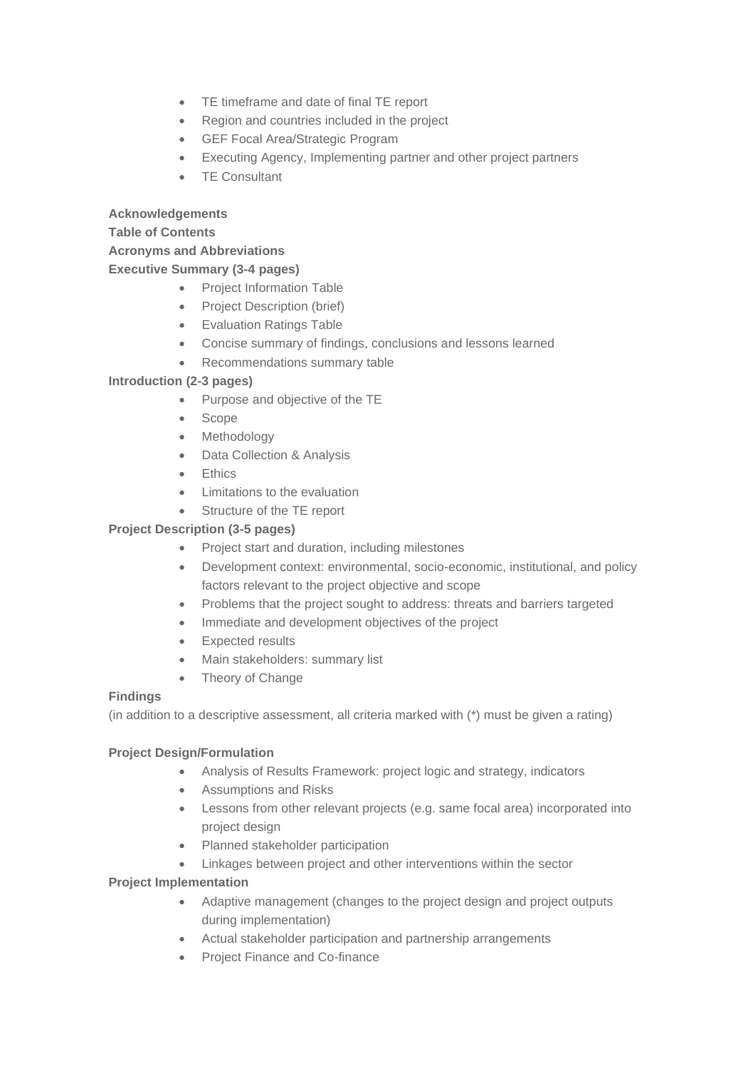- TE timeframe and date of final TE report
- Region and countries included in the project
- GEF Focal Area/Strategic Program
- Executing Agency, Implementing partner and other project partners
- TE Consultant

## **Acknowledgements**

## **Table of Contents**

## **Acronyms and Abbreviations**

## **Executive Summary (3-4 pages)**

- Project Information Table
- Project Description (brief)
- Evaluation Ratings Table
- Concise summary of findings, conclusions and lessons learned
- Recommendations summary table

## **Introduction (2-3 pages)**

- Purpose and objective of the TE
- Scope
- Methodology
- Data Collection & Analysis
- Ethics
- Limitations to the evaluation
- Structure of the TE report

## **Project Description (3-5 pages)**

- Project start and duration, including milestones
- Development context: environmental, socio-economic, institutional, and policy factors relevant to the project objective and scope
- Problems that the project sought to address: threats and barriers targeted
- Immediate and development objectives of the project
- Expected results
- Main stakeholders: summary list
- Theory of Change

#### **Findings**

(in addition to a descriptive assessment, all criteria marked with (\*) must be given a rating)

## **Project Design/Formulation**

- Analysis of Results Framework: project logic and strategy, indicators
- Assumptions and Risks
- Lessons from other relevant projects (e.g. same focal area) incorporated into project design
- Planned stakeholder participation
- Linkages between project and other interventions within the sector

#### **Project Implementation**

- Adaptive management (changes to the project design and project outputs during implementation)
- Actual stakeholder participation and partnership arrangements
- Project Finance and Co-finance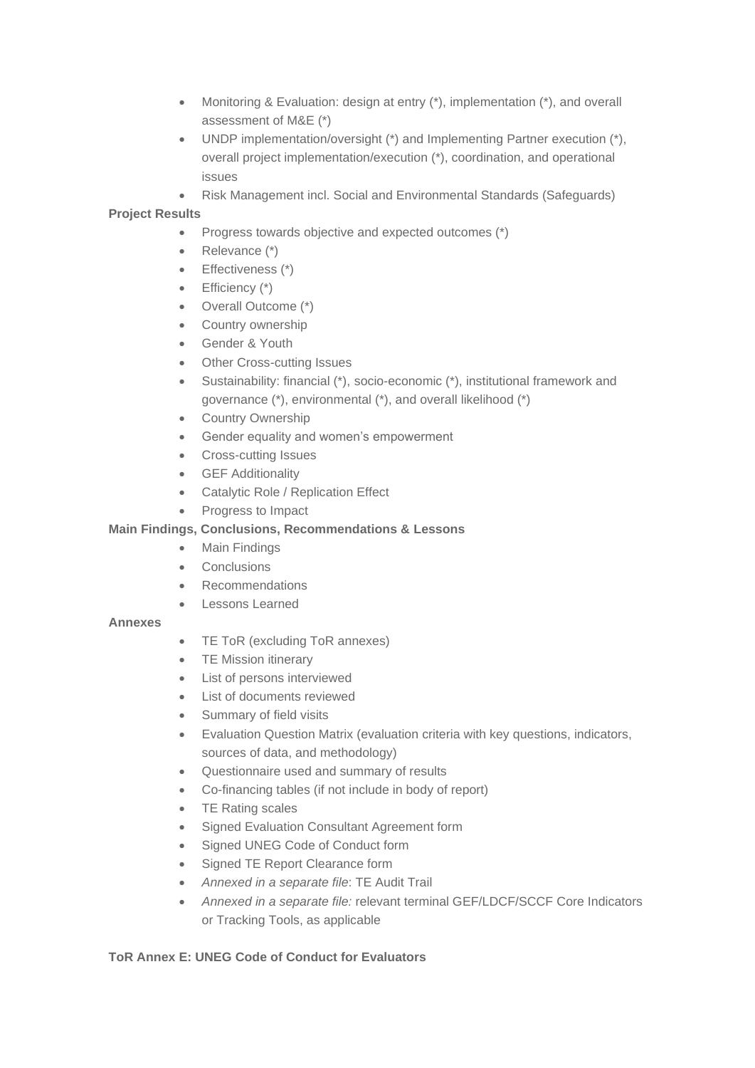- Monitoring & Evaluation: design at entry (\*), implementation (\*), and overall assessment of M&E (\*)
- UNDP implementation/oversight (\*) and Implementing Partner execution (\*), overall project implementation/execution (\*), coordination, and operational issues
- Risk Management incl. Social and Environmental Standards (Safeguards)

## **Project Results**

- Progress towards objective and expected outcomes (\*)
- Relevance (\*)
- Effectiveness (\*)
- Efficiency (\*)
- Overall Outcome (\*)
- Country ownership
- Gender & Youth
- **Other Cross-cutting Issues**
- Sustainability: financial (\*), socio-economic (\*), institutional framework and governance (\*), environmental (\*), and overall likelihood (\*)
- Country Ownership
- Gender equality and women's empowerment
- Cross-cutting Issues
- GEF Additionality
- Catalytic Role / Replication Effect
- Progress to Impact

#### **Main Findings, Conclusions, Recommendations & Lessons**

- Main Findings
- Conclusions
- Recommendations
- Lessons Learned

#### **Annexes**

- TE ToR (excluding ToR annexes)
- TE Mission itinerary
- List of persons interviewed
- List of documents reviewed
- Summary of field visits
- Evaluation Question Matrix (evaluation criteria with key questions, indicators, sources of data, and methodology)
- Questionnaire used and summary of results
- Co-financing tables (if not include in body of report)
- TE Rating scales
- Signed Evaluation Consultant Agreement form
- Signed UNEG Code of Conduct form
- Signed TE Report Clearance form
- *Annexed in a separate file*: TE Audit Trail
- *Annexed in a separate file:* relevant terminal GEF/LDCF/SCCF Core Indicators or Tracking Tools, as applicable

#### **ToR Annex E: UNEG Code of Conduct for Evaluators**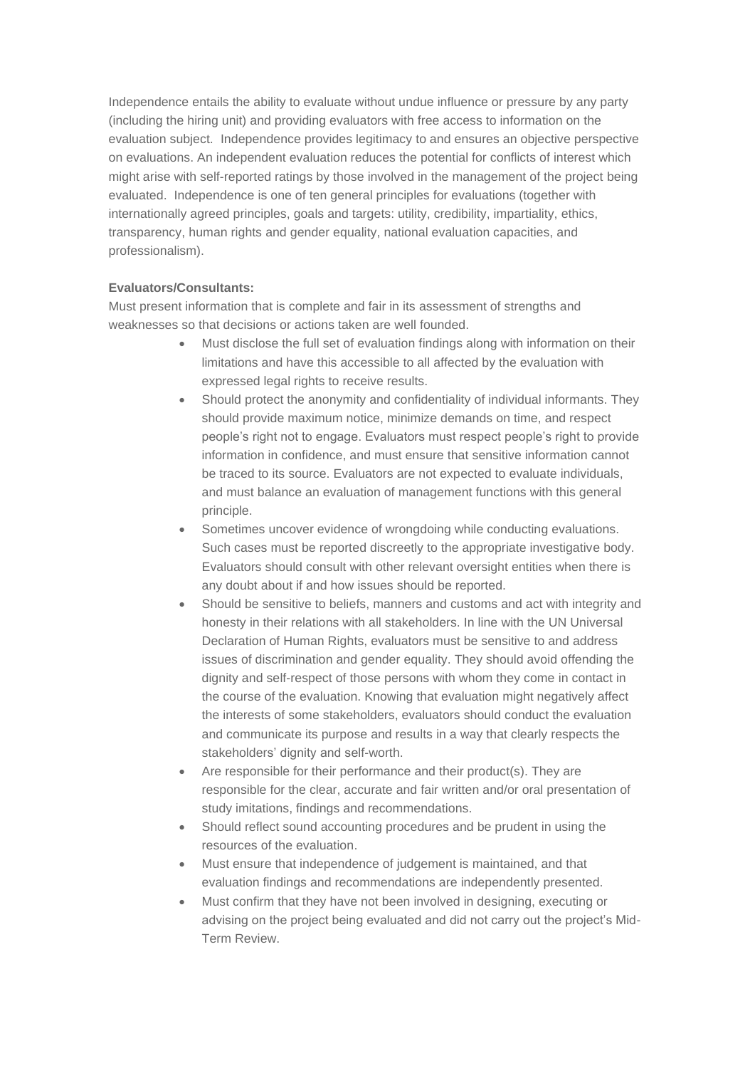Independence entails the ability to evaluate without undue influence or pressure by any party (including the hiring unit) and providing evaluators with free access to information on the evaluation subject. Independence provides legitimacy to and ensures an objective perspective on evaluations. An independent evaluation reduces the potential for conflicts of interest which might arise with self-reported ratings by those involved in the management of the project being evaluated. Independence is one of ten general principles for evaluations (together with internationally agreed principles, goals and targets: utility, credibility, impartiality, ethics, transparency, human rights and gender equality, national evaluation capacities, and professionalism).

## **Evaluators/Consultants:**

Must present information that is complete and fair in its assessment of strengths and weaknesses so that decisions or actions taken are well founded.

- Must disclose the full set of evaluation findings along with information on their limitations and have this accessible to all affected by the evaluation with expressed legal rights to receive results.
- Should protect the anonymity and confidentiality of individual informants. They should provide maximum notice, minimize demands on time, and respect people's right not to engage. Evaluators must respect people's right to provide information in confidence, and must ensure that sensitive information cannot be traced to its source. Evaluators are not expected to evaluate individuals, and must balance an evaluation of management functions with this general principle.
- Sometimes uncover evidence of wrongdoing while conducting evaluations. Such cases must be reported discreetly to the appropriate investigative body. Evaluators should consult with other relevant oversight entities when there is any doubt about if and how issues should be reported.
- Should be sensitive to beliefs, manners and customs and act with integrity and honesty in their relations with all stakeholders. In line with the UN Universal Declaration of Human Rights, evaluators must be sensitive to and address issues of discrimination and gender equality. They should avoid offending the dignity and self-respect of those persons with whom they come in contact in the course of the evaluation. Knowing that evaluation might negatively affect the interests of some stakeholders, evaluators should conduct the evaluation and communicate its purpose and results in a way that clearly respects the stakeholders' dignity and self-worth.
- Are responsible for their performance and their product(s). They are responsible for the clear, accurate and fair written and/or oral presentation of study imitations, findings and recommendations.
- Should reflect sound accounting procedures and be prudent in using the resources of the evaluation.
- Must ensure that independence of judgement is maintained, and that evaluation findings and recommendations are independently presented.
- Must confirm that they have not been involved in designing, executing or advising on the project being evaluated and did not carry out the project's Mid-Term Review.